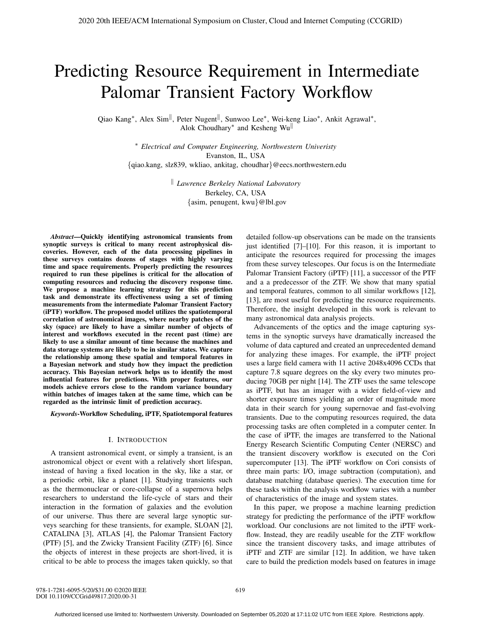# Predicting Resource Requirement in Intermediate Palomar Transient Factory Workflow

Qiao Kang<sup>∗</sup>, Alex Sim<sup>||</sup>, Peter Nugent<sup>||</sup>, Sunwoo Lee<sup>∗</sup>, Wei-keng Liao<sup>∗</sup>, Ankit Agrawal<sup>∗</sup>, Alok Choudhary∗ and Kesheng Wu

> ∗ *Electrical and Computer Engineering, Northwestern Univeristy* Evanston, IL, USA {qiao.kang, slz839, wkliao, ankitag, choudhar}@eecs.northwestern.edu

> > *Lawrence Berkeley National Laboratory* Berkeley, CA, USA {asim, penugent, kwu}@lbl.gov

*Abstract*—Quickly identifying astronomical transients from synoptic surveys is critical to many recent astrophysical discoveries. However, each of the data processing pipelines in these surveys contains dozens of stages with highly varying time and space requirements. Properly predicting the resources required to run these pipelines is critical for the allocation of computing resources and reducing the discovery response time. We propose a machine learning strategy for this prediction task and demonstrate its effectiveness using a set of timing measurements from the intermediate Palomar Transient Factory (iPTF) workflow. The proposed model utilizes the spatiotemporal correlation of astronomical images, where nearby patches of the sky (space) are likely to have a similar number of objects of interest and workflows executed in the recent past (time) are likely to use a similar amount of time because the machines and data storage systems are likely to be in similar states. We capture the relationship among these spatial and temporal features in a Bayesian network and study how they impact the prediction accuracy. This Bayesian network helps us to identify the most influential features for predictions. With proper features, our models achieve errors close to the random variance boundary within batches of images taken at the same time, which can be regarded as the intrinsic limit of prediction accuracy.

*Keywords*-Workflow Scheduling, iPTF, Spatiotemporal features

## I. INTRODUCTION

A transient astronomical event, or simply a transient, is an astronomical object or event with a relatively short lifespan, instead of having a fixed location in the sky, like a star, or a periodic orbit, like a planet [1]. Studying transients such as the thermonuclear or core-collapse of a supernova helps researchers to understand the life-cycle of stars and their interaction in the formation of galaxies and the evolution of our universe. Thus there are several large synoptic surveys searching for these transients, for example, SLOAN [2], CATALINA [3], ATLAS [4], the Palomar Transient Factory (PTF) [5], and the Zwicky Transient Facility (ZTF) [6]. Since the objects of interest in these projects are short-lived, it is critical to be able to process the images taken quickly, so that

detailed follow-up observations can be made on the transients just identified [7]–[10]. For this reason, it is important to anticipate the resources required for processing the images from these survey telescopes. Our focus is on the Intermediate Palomar Transient Factory (iPTF) [11], a successor of the PTF and a a predecessor of the ZTF. We show that many spatial and temporal features, common to all similar workflows [12], [13], are most useful for predicting the resource requirements. Therefore, the insight developed in this work is relevant to many astronomical data analysis projects.

Advancements of the optics and the image capturing systems in the synoptic surveys have dramatically increased the volume of data captured and created an unprecedented demand for analyzing these images. For example, the iPTF project uses a large field camera with 11 active 2048x4096 CCDs that capture 7.8 square degrees on the sky every two minutes producing 70GB per night [14]. The ZTF uses the same telescope as iPTF, but has an imager with a wider field-of-view and shorter exposure times yielding an order of magnitude more data in their search for young supernovae and fast-evolving transients. Due to the computing resources required, the data processing tasks are often completed in a computer center. In the case of iPTF, the images are transferred to the National Energy Research Scientific Computing Center (NERSC) and the transient discovery workflow is executed on the Cori supercomputer [13]. The iPTF workflow on Cori consists of three main parts: I/O, image subtraction (computation), and database matching (database queries). The execution time for these tasks within the analysis workflow varies with a number of characteristics of the image and system states.

In this paper, we propose a machine learning prediction strategy for predicting the performance of the iPTF workflow workload. Our conclusions are not limited to the iPTF workflow. Instead, they are readily useable for the ZTF workflow since the transient discovery tasks, and image attributes of iPTF and ZTF are similar [12]. In addition, we have taken care to build the prediction models based on features in image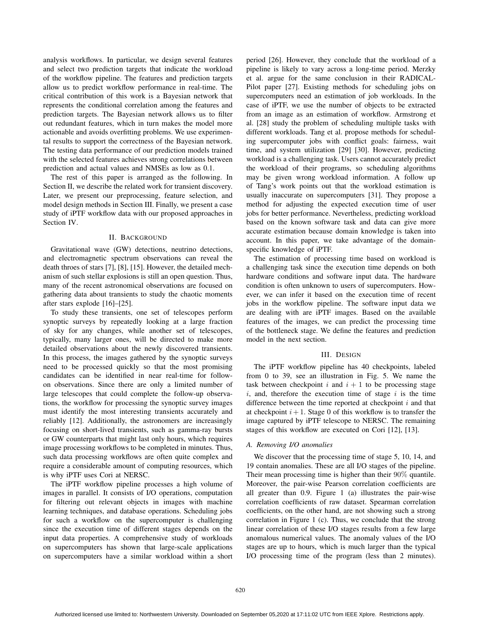analysis workflows. In particular, we design several features and select two prediction targets that indicate the workload of the workflow pipeline. The features and prediction targets allow us to predict workflow performance in real-time. The critical contribution of this work is a Bayesian network that represents the conditional correlation among the features and prediction targets. The Bayesian network allows us to filter out redundant features, which in turn makes the model more actionable and avoids overfitting problems. We use experimental results to support the correctness of the Bayesian network. The testing data performance of our prediction models trained with the selected features achieves strong correlations between prediction and actual values and NMSEs as low as 0.1.

The rest of this paper is arranged as the following. In Section II, we describe the related work for transient discovery. Later, we present our preprocessing, feature selection, and model design methods in Section III. Finally, we present a case study of iPTF workflow data with our proposed approaches in Section IV.

# II. BACKGROUND

Gravitational wave (GW) detections, neutrino detections, and electromagnetic spectrum observations can reveal the death throes of stars [7], [8], [15]. However, the detailed mechanism of such stellar explosions is still an open question. Thus, many of the recent astronomical observations are focused on gathering data about transients to study the chaotic moments after stars explode [16]–[25].

To study these transients, one set of telescopes perform synoptic surveys by repeatedly looking at a large fraction of sky for any changes, while another set of telescopes, typically, many larger ones, will be directed to make more detailed observations about the newly discovered transients. In this process, the images gathered by the synoptic surveys need to be processed quickly so that the most promising candidates can be identified in near real-time for followon observations. Since there are only a limited number of large telescopes that could complete the follow-up observations, the workflow for processing the synoptic survey images must identify the most interesting transients accurately and reliably [12]. Additionally, the astronomers are increasingly focusing on short-lived transients, such as gamma-ray bursts or GW counterparts that might last only hours, which requires image processing workflows to be completed in minutes. Thus, such data processing workflows are often quite complex and require a considerable amount of computing resources, which is why iPTF uses Cori at NERSC.

The iPTF workflow pipeline processes a high volume of images in parallel. It consists of I/O operations, computation for filtering out relevant objects in images with machine learning techniques, and database operations. Scheduling jobs for such a workflow on the supercomputer is challenging since the execution time of different stages depends on the input data properties. A comprehensive study of workloads on supercomputers has shown that large-scale applications on supercomputers have a similar workload within a short

period [26]. However, they conclude that the workload of a pipeline is likely to vary across a long-time period. Merzky et al. argue for the same conclusion in their RADICAL-Pilot paper [27]. Existing methods for scheduling jobs on supercomputers need an estimation of job workloads. In the case of iPTF, we use the number of objects to be extracted from an image as an estimation of workflow. Armstrong et al. [28] study the problem of scheduling multiple tasks with different workloads. Tang et al. propose methods for scheduling supercomputer jobs with conflict goals: fairness, wait time, and system utilization [29] [30]. However, predicting workload is a challenging task. Users cannot accurately predict the workload of their programs, so scheduling algorithms may be given wrong workload information. A follow up of Tang's work points out that the workload estimation is usually inaccurate on supercomputers [31]. They propose a method for adjusting the expected execution time of user jobs for better performance. Nevertheless, predicting workload based on the known software task and data can give more accurate estimation because domain knowledge is taken into account. In this paper, we take advantage of the domainspecific knowledge of iPTF.

The estimation of processing time based on workload is a challenging task since the execution time depends on both hardware conditions and software input data. The hardware condition is often unknown to users of supercomputers. However, we can infer it based on the execution time of recent jobs in the workflow pipeline. The software input data we are dealing with are iPTF images. Based on the available features of the images, we can predict the processing time of the bottleneck stage. We define the features and prediction model in the next section.

## III. DESIGN

The iPTF workflow pipeline has 40 checkpoints, labeled from 0 to 39, see an illustration in Fig. 5. We name the task between checkpoint  $i$  and  $i + 1$  to be processing stage  $i$ , and, therefore the execution time of stage  $i$  is the time difference between the time reported at checkpoint  $i$  and that at checkpoint  $i + 1$ . Stage 0 of this workflow is to transfer the image captured by iPTF telescope to NERSC. The remaining stages of this workflow are executed on Cori [12], [13].

## *A. Removing I/O anomalies*

We discover that the processing time of stage 5, 10, 14, and 19 contain anomalies. These are all I/O stages of the pipeline. Their mean processing time is higher than their 90% quantile. Moreover, the pair-wise Pearson correlation coefficients are all greater than 0.9. Figure 1 (a) illustrates the pair-wise correlation coefficients of raw dataset. Spearman correlation coefficients, on the other hand, are not showing such a strong correlation in Figure 1 (c). Thus, we conclude that the strong linear correlation of these I/O stages results from a few large anomalous numerical values. The anomaly values of the I/O stages are up to hours, which is much larger than the typical I/O processing time of the program (less than 2 minutes).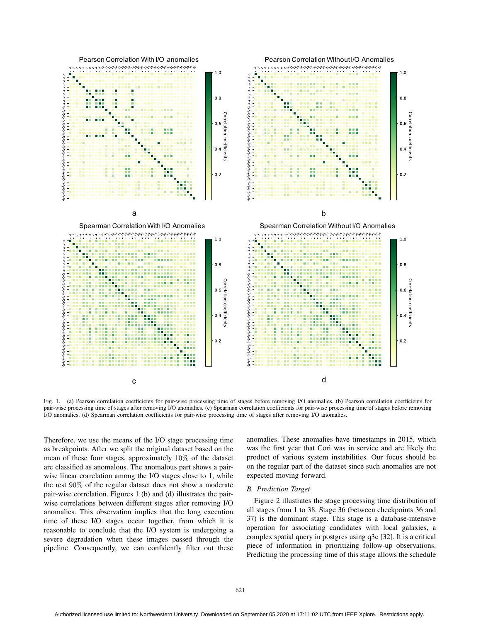

Fig. 1. (a) Pearson correlation coefficients for pair-wise processing time of stages before removing I/O anomalies. (b) Pearson correlation coefficients for pair-wise processing time of stages after removing I/O anomalies. (c) Spearman correlation coefficients for pair-wise processing time of stages before removing I/O anomalies. (d) Spearman correlation coefficients for pair-wise processing time of stages after removing I/O anomalies.

Therefore, we use the means of the I/O stage processing time as breakpoints. After we split the original dataset based on the mean of these four stages, approximately 10% of the dataset are classified as anomalous. The anomalous part shows a pairwise linear correlation among the I/O stages close to 1, while the rest 90% of the regular dataset does not show a moderate pair-wise correlation. Figures 1 (b) and (d) illustrates the pairwise correlations between different stages after removing I/O anomalies. This observation implies that the long execution time of these I/O stages occur together, from which it is reasonable to conclude that the I/O system is undergoing a severe degradation when these images passed through the pipeline. Consequently, we can confidently filter out these anomalies. These anomalies have timestamps in 2015, which was the first year that Cori was in service and are likely the product of various system instabilities. Our focus should be on the regular part of the dataset since such anomalies are not expected moving forward.

## *B. Prediction Target*

Figure 2 illustrates the stage processing time distribution of all stages from 1 to 38. Stage 36 (between checkpoints 36 and 37) is the dominant stage. This stage is a database-intensive operation for associating candidates with local galaxies, a complex spatial query in postgres using q3c [32]. It is a critical piece of information in prioritizing follow-up observations. Predicting the processing time of this stage allows the schedule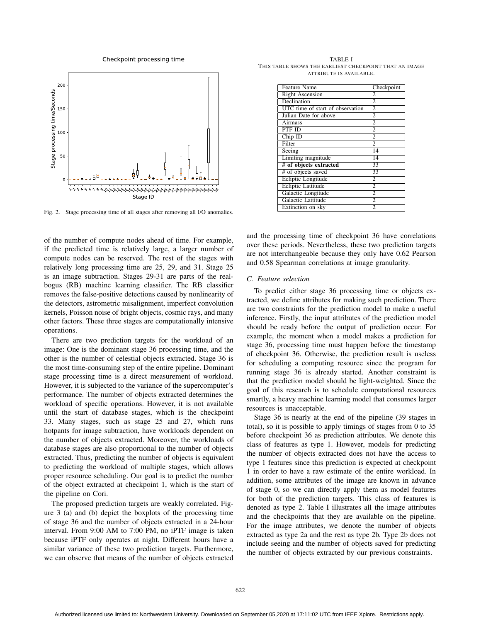Checkpoint processing time



Fig. 2. Stage processing time of all stages after removing all I/O anomalies.

of the number of compute nodes ahead of time. For example, if the predicted time is relatively large, a larger number of compute nodes can be reserved. The rest of the stages with relatively long processing time are 25, 29, and 31. Stage 25 is an image subtraction. Stages 29-31 are parts of the realbogus (RB) machine learning classifier. The RB classifier removes the false-positive detections caused by nonlinearity of the detectors, astrometric misalignment, imperfect convolution kernels, Poisson noise of bright objects, cosmic rays, and many other factors. These three stages are computationally intensive operations.

There are two prediction targets for the workload of an image: One is the dominant stage 36 processing time, and the other is the number of celestial objects extracted. Stage 36 is the most time-consuming step of the entire pipeline. Dominant stage processing time is a direct measurement of workload. However, it is subjected to the variance of the supercomputer's performance. The number of objects extracted determines the workload of specific operations. However, it is not available until the start of database stages, which is the checkpoint 33. Many stages, such as stage 25 and 27, which runs hotpants for image subtraction, have workloads dependent on the number of objects extracted. Moreover, the workloads of database stages are also proportional to the number of objects extracted. Thus, predicting the number of objects is equivalent to predicting the workload of multiple stages, which allows proper resource scheduling. Our goal is to predict the number of the object extracted at checkpoint 1, which is the start of the pipeline on Cori.

The proposed prediction targets are weakly correlated. Figure 3 (a) and (b) depict the boxplots of the processing time of stage 36 and the number of objects extracted in a 24-hour interval. From 9:00 AM to 7:00 PM, no iPTF image is taken because iPTF only operates at night. Different hours have a similar variance of these two prediction targets. Furthermore, we can observe that means of the number of objects extracted

TABLE I THIS TABLE SHOWS THE EARLIEST CHECKPOINT THAT AN IMAGE ATTRIBUTE IS AVAILABLE.

| <b>Feature Name</b>              | Checkpoint     |  |  |
|----------------------------------|----------------|--|--|
| <b>Right Ascension</b>           | $\overline{c}$ |  |  |
| Declination                      | $\overline{c}$ |  |  |
| UTC time of start of observation | $\overline{2}$ |  |  |
| Julian Date for above            | $\overline{c}$ |  |  |
| Airmass                          | $\overline{c}$ |  |  |
| PTF ID                           | $\overline{2}$ |  |  |
| $Chip$ ID                        | $\overline{c}$ |  |  |
| Filter                           | $\mathfrak{D}$ |  |  |
| Seeing                           | 14             |  |  |
| Limiting magnitude               | 14             |  |  |
| # of objects extracted           | 33             |  |  |
| # of objects saved               | 33             |  |  |
| Ecliptic Longitude               | 2              |  |  |
| <b>Ecliptic Lattitude</b>        | $\overline{c}$ |  |  |
| Galactic Longitude               | $\overline{c}$ |  |  |
| Galactic Lattitude               | $\mathfrak{D}$ |  |  |
| Extinction on sky                | $\overline{c}$ |  |  |

and the processing time of checkpoint 36 have correlations over these periods. Nevertheless, these two prediction targets are not interchangeable because they only have 0.62 Pearson and 0.58 Spearman correlations at image granularity.

## *C. Feature selection*

To predict either stage 36 processing time or objects extracted, we define attributes for making such prediction. There are two constraints for the prediction model to make a useful inference. Firstly, the input attributes of the prediction model should be ready before the output of prediction occur. For example, the moment when a model makes a prediction for stage 36, processing time must happen before the timestamp of checkpoint 36. Otherwise, the prediction result is useless for scheduling a computing resource since the program for running stage 36 is already started. Another constraint is that the prediction model should be light-weighted. Since the goal of this research is to schedule computational resources smartly, a heavy machine learning model that consumes larger resources is unacceptable.

Stage 36 is nearly at the end of the pipeline (39 stages in total), so it is possible to apply timings of stages from 0 to 35 before checkpoint 36 as prediction attributes. We denote this class of features as type 1. However, models for predicting the number of objects extracted does not have the access to type 1 features since this prediction is expected at checkpoint 1 in order to have a raw estimate of the entire workload. In addition, some attributes of the image are known in advance of stage 0, so we can directly apply them as model features for both of the prediction targets. This class of features is denoted as type 2. Table I illustrates all the image attributes and the checkpoints that they are available on the pipeline. For the image attributes, we denote the number of objects extracted as type 2a and the rest as type 2b. Type 2b does not include seeing and the number of objects saved for predicting the number of objects extracted by our previous constraints.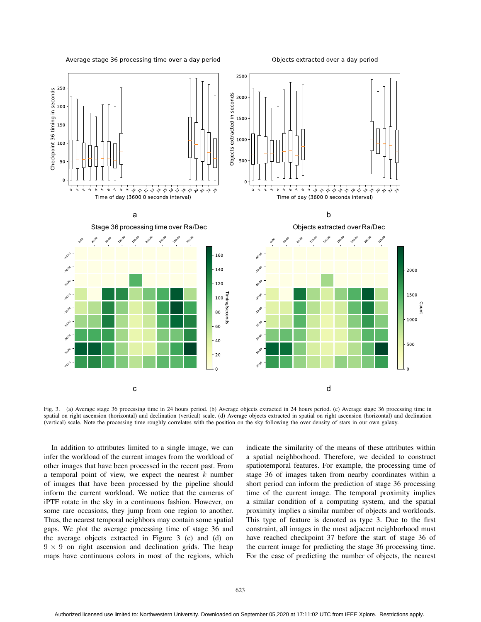

Objects extracted over a day period



Fig. 3. (a) Average stage 36 processing time in 24 hours period. (b) Average objects extracted in 24 hours period. (c) Average stage 36 processing time in spatial on right ascension (horizontal) and declination (vertical) scale. (d) Average objects extracted in spatial on right ascension (horizontal) and declination (vertical) scale. Note the processing time roughly correlates with the position on the sky following the over density of stars in our own galaxy.

In addition to attributes limited to a single image, we can infer the workload of the current images from the workload of other images that have been processed in the recent past. From a temporal point of view, we expect the nearest  $k$  number of images that have been processed by the pipeline should inform the current workload. We notice that the cameras of iPTF rotate in the sky in a continuous fashion. However, on some rare occasions, they jump from one region to another. Thus, the nearest temporal neighbors may contain some spatial gaps. We plot the average processing time of stage 36 and the average objects extracted in Figure 3 (c) and (d) on  $9 \times 9$  on right ascension and declination grids. The heap maps have continuous colors in most of the regions, which

indicate the similarity of the means of these attributes within a spatial neighborhood. Therefore, we decided to construct spatiotemporal features. For example, the processing time of stage 36 of images taken from nearby coordinates within a short period can inform the prediction of stage 36 processing time of the current image. The temporal proximity implies a similar condition of a computing system, and the spatial proximity implies a similar number of objects and workloads. This type of feature is denoted as type 3. Due to the first constraint, all images in the most adjacent neighborhood must have reached checkpoint 37 before the start of stage 36 of the current image for predicting the stage 36 processing time. For the case of predicting the number of objects, the nearest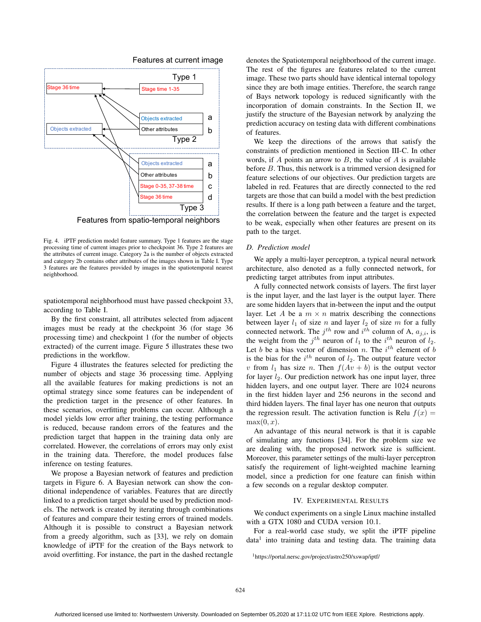



Features from spatio-temporal neighbors

Fig. 4. iPTF prediction model feature summary. Type 1 features are the stage processing time of current images prior to checkpoint 36. Type 2 features are the attributes of current image. Category 2a is the number of objects extracted and category 2b contains other attributes of the images shown in Table I. Type 3 features are the features provided by images in the spatiotemporal nearest neighborhood.

spatiotemporal neighborhood must have passed checkpoint 33, according to Table I.

By the first constraint, all attributes selected from adjacent images must be ready at the checkpoint 36 (for stage 36 processing time) and checkpoint 1 (for the number of objects extracted) of the current image. Figure 5 illustrates these two predictions in the workflow.

Figure 4 illustrates the features selected for predicting the number of objects and stage 36 processing time. Applying all the available features for making predictions is not an optimal strategy since some features can be independent of the prediction target in the presence of other features. In these scenarios, overfitting problems can occur. Although a model yields low error after training, the testing performance is reduced, because random errors of the features and the prediction target that happen in the training data only are correlated. However, the correlations of errors may only exist in the training data. Therefore, the model produces false inference on testing features.

We propose a Bayesian network of features and prediction targets in Figure 6. A Bayesian network can show the conditional independence of variables. Features that are directly linked to a prediction target should be used by prediction models. The network is created by iterating through combinations of features and compare their testing errors of trained models. Although it is possible to construct a Bayesian network from a greedy algorithm, such as [33], we rely on domain knowledge of iPTF for the creation of the Bays network to avoid overfitting. For instance, the part in the dashed rectangle denotes the Spatiotemporal neighborhood of the current image. The rest of the figures are features related to the current image. These two parts should have identical internal topology since they are both image entities. Therefore, the search range of Bays network topology is reduced significantly with the incorporation of domain constraints. In the Section II, we justify the structure of the Bayesian network by analyzing the prediction accuracy on testing data with different combinations of features.

We keep the directions of the arrows that satisfy the constraints of prediction mentioned in Section III-C. In other words, if  $A$  points an arrow to  $B$ , the value of  $A$  is available before B. Thus, this network is a trimmed version designed for feature selections of our objectives. Our prediction targets are labeled in red. Features that are directly connected to the red targets are those that can build a model with the best prediction results. If there is a long path between a feature and the target, the correlation between the feature and the target is expected to be weak, especially when other features are present on its path to the target.

# *D. Prediction model*

We apply a multi-layer perceptron, a typical neural network architecture, also denoted as a fully connected network, for predicting target attributes from input attributes.

A fully connected network consists of layers. The first layer is the input layer, and the last layer is the output layer. There are some hidden layers that in-between the input and the output layer. Let A be a  $m \times n$  matrix describing the connections between layer  $l_1$  of size n and layer  $l_2$  of size m for a fully connected network. The  $j<sup>th</sup>$  row and  $i<sup>th</sup>$  column of A,  $a_{j,i}$ , is the weight from the  $j^{th}$  neuron of  $l_1$  to the  $i^{th}$  neuron of  $l_2$ . Let b be a bias vector of dimension n. The  $i^{th}$  element of b is the bias for the  $i^{th}$  neuron of  $l_2$ . The output feature vector v from  $l_1$  has size n. Then  $f(Av + b)$  is the output vector for layer  $l_2$ . Our prediction network has one input layer, three hidden layers, and one output layer. There are 1024 neurons in the first hidden layer and 256 neurons in the second and third hidden layers. The final layer has one neuron that outputs the regression result. The activation function is Relu  $f(x) =$  $max(0, x)$ .

An advantage of this neural network is that it is capable of simulating any functions [34]. For the problem size we are dealing with, the proposed network size is sufficient. Moreover, this parameter settings of the multi-layer perceptron satisfy the requirement of light-weighted machine learning model, since a prediction for one feature can finish within a few seconds on a regular desktop computer.

# IV. EXPERIMENTAL RESULTS

We conduct experiments on a single Linux machine installed with a GTX 1080 and CUDA version 10.1.

For a real-world case study, we split the iPTF pipeline  $data<sup>1</sup>$  into training data and testing data. The training data

1https://portal.nersc.gov/project/astro250/xswap/iptf/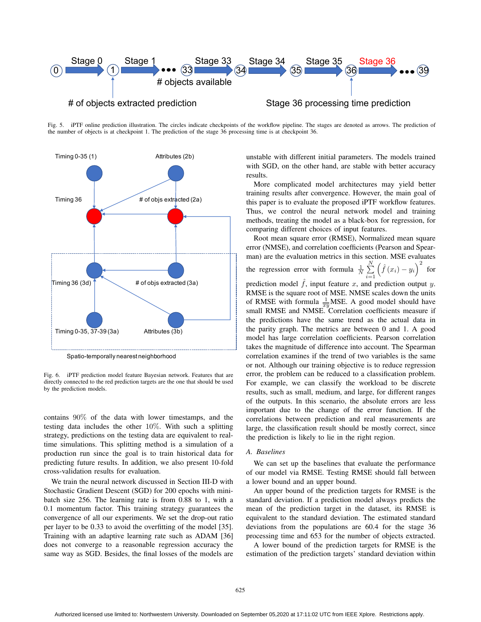

Fig. 5. iPTF online prediction illustration. The circles indicate checkpoints of the workflow pipeline. The stages are denoted as arrows. The prediction of the number of objects is at checkpoint 1. The prediction of the stage 36 processing time is at checkpoint 36.



Spatio-temporally nearest neighborhood

Fig. 6. iPTF prediction model feature Bayesian network. Features that are directly connected to the red prediction targets are the one that should be used by the prediction models.

contains 90% of the data with lower timestamps, and the testing data includes the other 10%. With such a splitting strategy, predictions on the testing data are equivalent to realtime simulations. This splitting method is a simulation of a production run since the goal is to train historical data for predicting future results. In addition, we also present 10-fold cross-validation results for evaluation.

We train the neural network discussed in Section III-D with Stochastic Gradient Descent (SGD) for 200 epochs with minibatch size 256. The learning rate is from 0.88 to 1, with a 0.1 momentum factor. This training strategy guarantees the convergence of all our experiments. We set the drop-out ratio per layer to be 0.33 to avoid the overfitting of the model [35]. Training with an adaptive learning rate such as ADAM [36] does not converge to a reasonable regression accuracy the same way as SGD. Besides, the final losses of the models are

unstable with different initial parameters. The models trained with SGD, on the other hand, are stable with better accuracy results.

More complicated model architectures may yield better training results after convergence. However, the main goal of this paper is to evaluate the proposed iPTF workflow features. Thus, we control the neural network model and training methods, treating the model as a black-box for regression, for comparing different choices of input features.

Root mean square error (RMSE), Normalized mean square error (NMSE), and correlation coefficients (Pearson and Spearman) are the evaluation metrics in this section. MSE evaluates the regression error with formula  $\frac{1}{N} \sum_{n=1}^{N}$  $i=1$  $\left(\hat{f}(x_i) - y_i\right)^2$  for

prediction model  $\hat{f}$ , input feature x, and prediction output y. RMSE is the square root of MSE. NMSE scales down the units of RMSE with formula  $\frac{1}{xy}$ MSE. A good model should have small RMSE and NMSE. Correlation coefficients measure if the predictions have the same trend as the actual data in the parity graph. The metrics are between 0 and 1. A good model has large correlation coefficients. Pearson correlation takes the magnitude of difference into account. The Spearman correlation examines if the trend of two variables is the same or not. Although our training objective is to reduce regression error, the problem can be reduced to a classification problem. For example, we can classify the workload to be discrete results, such as small, medium, and large, for different ranges of the outputs. In this scenario, the absolute errors are less important due to the change of the error function. If the correlations between prediction and real measurements are large, the classification result should be mostly correct, since the prediction is likely to lie in the right region.

## *A. Baselines*

We can set up the baselines that evaluate the performance of our model via RMSE. Testing RMSE should fall between a lower bound and an upper bound.

An upper bound of the prediction targets for RMSE is the standard deviation. If a prediction model always predicts the mean of the prediction target in the dataset, its RMSE is equivalent to the standard deviation. The estimated standard deviations from the populations are 60.4 for the stage 36 processing time and 653 for the number of objects extracted.

A lower bound of the prediction targets for RMSE is the estimation of the prediction targets' standard deviation within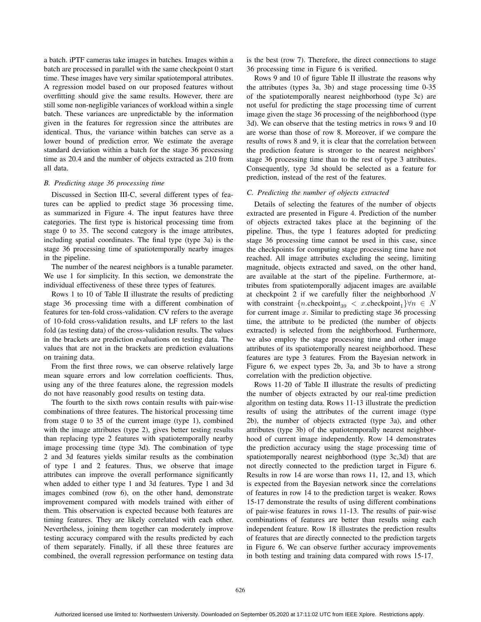a batch. iPTF cameras take images in batches. Images within a batch are processed in parallel with the same checkpoint 0 start time. These images have very similar spatiotemporal attributes. A regression model based on our proposed features without overfitting should give the same results. However, there are still some non-negligible variances of workload within a single batch. These variances are unpredictable by the information given in the features for regression since the attributes are identical. Thus, the variance within batches can serve as a lower bound of prediction error. We estimate the average standard deviation within a batch for the stage 36 processing time as 20.4 and the number of objects extracted as 210 from all data.

# *B. Predicting stage 36 processing time*

Discussed in Section III-C, several different types of features can be applied to predict stage 36 processing time, as summarized in Figure 4. The input features have three categories. The first type is historical processing time from stage 0 to 35. The second category is the image attributes, including spatial coordinates. The final type (type 3a) is the stage 36 processing time of spatiotemporally nearby images in the pipeline.

The number of the nearest neighbors is a tunable parameter. We use 1 for simplicity. In this section, we demonstrate the individual effectiveness of these three types of features.

Rows 1 to 10 of Table II illustrate the results of predicting stage 36 processing time with a different combination of features for ten-fold cross-validation. CV refers to the average of 10-fold cross-validation results, and LF refers to the last fold (as testing data) of the cross-validation results. The values in the brackets are prediction evaluations on testing data. The values that are not in the brackets are prediction evaluations on training data.

From the first three rows, we can observe relatively large mean square errors and low correlation coefficients. Thus, using any of the three features alone, the regression models do not have reasonably good results on testing data.

The fourth to the sixth rows contain results with pair-wise combinations of three features. The historical processing time from stage 0 to 35 of the current image (type 1), combined with the image attributes (type 2), gives better testing results than replacing type 2 features with spatiotemporally nearby image processing time (type 3d). The combination of type 2 and 3d features yields similar results as the combination of type 1 and 2 features. Thus, we observe that image attributes can improve the overall performance significantly when added to either type 1 and 3d features. Type 1 and 3d images combined (row 6), on the other hand, demonstrate improvement compared with models trained with either of them. This observation is expected because both features are timing features. They are likely correlated with each other. Nevertheless, joining them together can moderately improve testing accuracy compared with the results predicted by each of them separately. Finally, if all these three features are combined, the overall regression performance on testing data is the best (row 7). Therefore, the direct connections to stage 36 processing time in Figure 6 is verified.

Rows 9 and 10 of figure Table II illustrate the reasons why the attributes (types 3a, 3b) and stage processing time 0-35 of the spatiotemporally nearest neighborhood (type 3c) are not useful for predicting the stage processing time of current image given the stage 36 processing of the neighborhood (type 3d). We can observe that the testing metrics in rows 9 and 10 are worse than those of row 8. Moreover, if we compare the results of rows 8 and 9, it is clear that the correlation between the prediction feature is stronger to the nearest neighbors' stage 36 processing time than to the rest of type 3 attributes. Consequently, type 3d should be selected as a feature for prediction, instead of the rest of the features.

## *C. Predicting the number of objects extracted*

Details of selecting the features of the number of objects extracted are presented in Figure 4. Prediction of the number of objects extracted takes place at the beginning of the pipeline. Thus, the type 1 features adopted for predicting stage 36 processing time cannot be used in this case, since the checkpoints for computing stage processing time have not reached. All image attributes excluding the seeing, limiting magnitude, objects extracted and saved, on the other hand, are available at the start of the pipeline. Furthermore, attributes from spatiotemporally adjacent images are available at checkpoint  $2$  if we carefully filter the neighborhood  $N$ with constraint  $\{n.\text{checkpoint}_{39} < x.\text{checkpoint}_{1}\}\forall n \in N$ for current image  $x$ . Similar to predicting stage 36 processing time, the attribute to be predicted (the number of objects extracted) is selected from the neighborhood. Furthermore, we also employ the stage processing time and other image attributes of its spatiotemporally nearest neighborhood. These features are type 3 features. From the Bayesian network in Figure 6, we expect types 2b, 3a, and 3b to have a strong correlation with the prediction objective.

Rows 11-20 of Table II illustrate the results of predicting the number of objects extracted by our real-time prediction algorithm on testing data. Rows 11-13 illustrate the prediction results of using the attributes of the current image (type 2b), the number of objects extracted (type 3a), and other attributes (type 3b) of the spatiotemporally nearest neighborhood of current image independently. Row 14 demonstrates the prediction accuracy using the stage processing time of spatiotemporally nearest neighborhood (type 3c,3d) that are not directly connected to the prediction target in Figure 6. Results in row 14 are worse than rows 11, 12, and 13, which is expected from the Bayesian network since the correlations of features in row 14 to the prediction target is weaker. Rows 15-17 demonstrate the results of using different combinations of pair-wise features in rows 11-13. The results of pair-wise combinations of features are better than results using each independent feature. Row 18 illustrates the prediction results of features that are directly connected to the prediction targets in Figure 6. We can observe further accuracy improvements in both testing and training data compared with rows 15-17.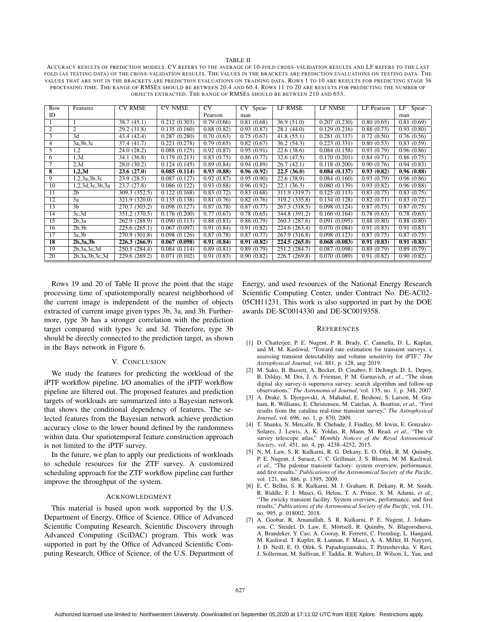#### TABLE II

ACCURACY RESULTS OF PREDICTION MODELS. CV REFERS TO THE AVERAGE OF 10-FOLD CROSS-VALIDATION RESULTS AND LF REFERS TO THE LAST FOLD (AS TESTING DATA) OF THE CROSS-VALIDATION RESULTS. THE VALUES IN THE BRACKETS ARE PREDICTION EVALUATIONS ON TESTING DATA. THE VALUES THAT ARE NOT IN THE BRACKETS ARE PREDICTION EVALUATIONS ON TRAINING DATA. ROWS 1 TO 10 ARE RESULTS FOR PREDICTING STAGE 36 PROCESSING TIME. THE RANGE OF RMSES SHOULD BE BETWEEN 20.4 AND 60.4. ROWS 11 TO 20 ARE RESULTS FOR PREDICTING THE NUMBER OF OBJECTS EXTRACTED. THE RANGE OF RMSES SHOULD BE BETWEEN 210 AND 653.

| Row                     | Features           | <b>CV RMSE</b> | <b>CV NMSE</b> | $\overline{\rm{CV}}$ | CV<br>Spear-             | <b>LF RMSE</b>           | <b>LF NMSE</b>            | <b>LF</b> Pearson | LF<br>Spear- |
|-------------------------|--------------------|----------------|----------------|----------------------|--------------------------|--------------------------|---------------------------|-------------------|--------------|
| ID                      |                    |                |                | Pearson              | man                      |                          |                           |                   | man          |
|                         |                    | 38.7(45.1)     | 0.212(0.303)   | 0.79(0.66)           | 0.81(0.68)               | 36.9(51.0)               | 0.207(0.230)              | 0.80(0.65)        | 0.81(0.69)   |
| $\overline{2}$          | 2                  | 29.2(31.8)     | 0.135(0.160)   | 0.88(0.82)           | 0.93(0.87)               | $\overline{28.1}$ (44.0) | 0.129(0.216)              | 0.88(0.73)        | 0.93(0.80)   |
| $\overline{3}$          | 3d                 | 43.4 (42.4)    | 0.287(0.280)   | 0.70(0.63)           | 0.75(0.67)               | 41.8(55.1)               | 0.281(0.317)              | 0.72(0.50)        | 0.76(0.56)   |
| $\overline{4}$          | 3a,3b,3c           | 37.4(41.7)     | 0.221(0.278)   | 0.79(0.65)           | 0.82(0.67)               | 36.2(54.3)               | $\overline{0.223(0.331)}$ | 0.80(0.53)        | 0.83(0.59)   |
| 5                       | 1,2                | 24.0(28.2)     | 0.088(0.125)   | 0.92(0.87)           | 0.95(0.91)               | 22.6(38.6)               | 0.084(0.158)              | 0.93(0.79)        | 0.96(0.86)   |
| 6                       | 1,3d               | 34.1 (36.8)    | 0.179(0.213)   | 0.83(0.75)           | 0.86(0.77)               | 32.6 (47.5)              | 0.170(0.201)              | 0.84(0.71)        | 0.86(0.75)   |
| 7                       | 2,3d               | 28.0(30.2)     | 0.124(0.145)   | 0.89(0.84)           | 0.94(0.89)               | 26.7(42.1)               | 0.118(0.200)              | 0.90(0.76)        | 0.94(0.83)   |
| $\overline{\mathbf{8}}$ | 1,2,3d             | 23.6(27.0)     | 0.085(0.114)   | 0.93(0.88)           | 0.96(0.92)               | 22.5(36.0)               | 0.084(0.137)              | 0.93(0.82)        | 0.96(0.88)   |
| 9                       | 1,2,3a,3b,3c       | 23.9(28.5)     | 0.087(0.127)   | 0.92(0.87)           | 0.95(0.90)               | 22.6(38.9)               | 0.084(0.160)              | 0.93(0.79)        | 0.96(0.86)   |
| 10                      | 1,2,3d,3c,3b,3a    | 23.7(27.8)     | 0.086(0.122)   | 0.93(0.88)           | 0.96(0.92)               | 22.1(36.3)               | 0.080(0.139)              | 0.93(0.82)        | 0.96(0.88)   |
| 11                      | 2 <sub>b</sub>     | 309.3 (352.5)  | 0.122(0.168)   | 0.83(0.72)           | 0.83(0.68)               | 311.9 (319.7)            | 0.125(0.113)              | 0.83(0.75)        | 0.83(0.75)   |
| 12                      | 3a                 | 321.9 (320.0)  | 0.135(0.138)   | 0.81(0.76)           | 0.82(0.76)               | 319.2 (335.8)            | 0.134(0.128)              | 0.82(0.71)        | 0.83(0.72)   |
| 13                      | 3 <sub>h</sub>     | 270.7 (303.2)  | 0.098(0.127)   | 0.87(0.78)           | 0.87(0.77)               | 267.3 (318.5)            | 0.098(0.124)              | 0.87(0.75)        | 0.87(0.75)   |
| 14                      | 3c,3d              | 351.2 (370.5)  | 0.176(0.200)   | 0.77(0.67)           | $\overline{0.78}$ (0.65) | 344.8 (391.2)            | 0.166(0.164)              | 0.78(0.63)        | 0.78(0.63)   |
| 15                      | 2b.3a              | 262.9 (288.9)  | 0.090(0.113)   | 0.88(0.81)           | 0.88(0.79)               | 260.3 (287.6)            | 0.091(0.095)              | 0.88(0.80)        | 0.88(0.80)   |
| 16                      | 2b.3b              | 225.6 (265.1)  | 0.067(0.097)   | 0.91(0.84)           | 0.91(0.82)               | 224.6 (263.4)            | 0.070(0.084)              | 0.91(0.83)        | 0.91(0.83)   |
| 17                      | 3a.3b              | 270.9 (301.8)  | 0.098(0.126)   | 0.87(0.78)           | 0.87(0.77)               | 267.9 (316.8)            | 0.098(0.123)              | 0.87(0.75)        | 0.87(0.75)   |
| 18                      | 2b, 3a, 3b         | 226.3 (266.9)  | 0.067(0.098)   | 0.91(0.84)           | 0.91(0.82)               | 224.5(265.0)             | 0.068(0.083)              | 0.91(0.83)        | 0.91(0.83)   |
| 19                      | 2b, 3a, 3c, 3d     | 250.5 (284.4)  | 0.084(0.114)   | 0.89(0.81)           | 0.89(0.79)               | 251.2 (284.7)            | 0.087(0.098)              | 0.89(0.79)        | 0.89(0.79)   |
| 20                      | 2b, 3a, 3b, 3c, 3d | 229.6 (269.2)  | 0.071(0.102)   | 0.91(0.83)           | 0.90(0.82)               | 226.7 (269.8)            | 0.070(0.089)              | 0.91(0.82)        | 0.90(0.82)   |

Rows 19 and 20 of Table II prove the point that the stage processing time of spatiotemporally nearest neighborhood of the current image is independent of the number of objects extracted of current image given types 3b, 3a, and 3b. Furthermore, type 3b has a stronger correlation with the prediction target compared with types 3c and 3d. Therefore, type 3b should be directly connected to the prediction target, as shown in the Bays network in Figure 6.

## V. CONCLUSION

We study the features for predicting the workload of the iPTF workflow pipeline. I/O anomalies of the iPTF workflow pipeline are filtered out. The proposed features and prediction targets of workloads are summarized into a Bayesian network that shows the conditional dependency of features. The selected features from the Bayesian network achieve prediction accuracy close to the lower bound defined by the randomness within data. Our spatiotemporal feature construction approach is not limited to the iPTF survey.

In the future, we plan to apply our predictions of workloads to schedule resources for the ZTF survey. A customized scheduling approach for the ZTF workflow pipeline can further improve the throughput of the system.

#### ACKNOWLEDGMENT

This material is based upon work supported by the U.S. Department of Energy, Office of Science, Office of Advanced Scientific Computing Research, Scientific Discovery through Advanced Computing (SciDAC) program. This work was supported in part by the Office of Advanced Scientific Computing Research, Office of Science, of the U.S. Department of Energy, and used resources of the National Energy Research Scientific Computing Center, under Contract No. DE-AC02- 05CH11231. This work is also supported in part by the DOE awards DE-SC0014330 and DE-SC0019358.

## **REFERENCES**

- [1] D. Chatterjee, P. E. Nugent, P. R. Brady, C. Cannella, D. L. Kaplan, and M. M. Kasliwal, "Toward rate estimation for transient surveys. i. assessing transient detectability and volume sensitivity for iPTF," *The Astrophysical Journal*, vol. 881, p. 128, aug 2019.
- [2] M. Sako, B. Bassett, A. Becker, D. Cinabro, F. DeJongh, D. L. Depoy, B. Dilday, M. Doi, J. A. Frieman, P. M. Garnavich, *et al.*, "The sloan digital sky survey-ii supernova survey: search algorithm and follow-up observations," *The Astronomical Journal*, vol. 135, no. 1, p. 348, 2007.
- [3] A. Drake, S. Djorgovski, A. Mahabal, E. Beshore, S. Larson, M. Graham, R. Williams, E. Christensen, M. Catelan, A. Boattini, *et al.*, "First results from the catalina real-time transient survey," *The Astrophysical Journal*, vol. 696, no. 1, p. 870, 2009.
- [4] T. Shanks, N. Metcalfe, B. Chehade, J. Findlay, M. Irwin, E. Gonzalez-Solares, J. Lewis, A. K. Yoldas, R. Mann, M. Read, *et al.*, "The vlt survey telescope atlas," *Monthly Notices of the Royal Astronomical Society*, vol. 451, no. 4, pp. 4238–4252, 2015.
- [5] N. M. Law, S. R. Kulkarni, R. G. Dekany, E. O. Ofek, R. M. Quimby, P. E. Nugent, J. Surace, C. C. Grillmair, J. S. Bloom, M. M. Kasliwal, *et al.*, "The palomar transient factory: system overview, performance, and first results," *Publications of the Astronomical Society of the Pacific*, vol. 121, no. 886, p. 1395, 2009.
- [6] E. C. Bellm, S. R. Kulkarni, M. J. Graham, R. Dekany, R. M. Smith, R. Riddle, F. J. Masci, G. Helou, T. A. Prince, S. M. Adams, *et al.*, "The zwicky transient facility: System overview, performance, and first results," *Publications of the Astronomical Society of the Pacific*, vol. 131, no. 995, p. 018002, 2018.
- [7] A. Goobar, R. Amanullah, S. R. Kulkarni, P. E. Nugent, J. Johansson, C. Steidel, D. Law, E. Mörtsell, R. Quimby, N. Blagorodnova, A. Brandeker, Y. Cao, A. Cooray, R. Ferretti, C. Fremling, L. Hangard, M. Kasliwal, T. Kupfer, R. Lunnan, F. Masci, A. A. Miller, H. Nayyeri, J. D. Neill, E. O. Ofek, S. Papadogiannakis, T. Petrushevska, V. Ravi, J. Sollerman, M. Sullivan, F. Taddia, R. Walters, D. Wilson, L. Yan, and